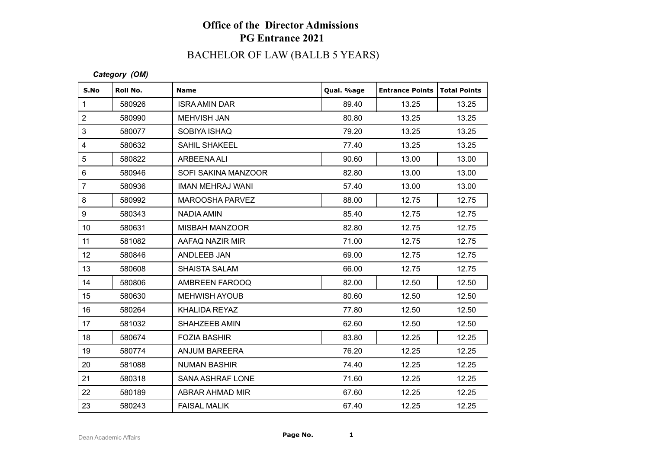# BACHELOR OF LAW (BALLB 5 YEARS)

### *Category (OM)*

| S.No                    | Roll No. | <b>Name</b>             | Qual. %age | <b>Entrance Points</b> | <b>Total Points</b> |
|-------------------------|----------|-------------------------|------------|------------------------|---------------------|
| $\mathbf{1}$            | 580926   | <b>ISRA AMIN DAR</b>    | 89.40      | 13.25                  | 13.25               |
| $\overline{2}$          | 580990   | <b>MEHVISH JAN</b>      | 80.80      | 13.25                  | 13.25               |
| 3                       | 580077   | SOBIYA ISHAQ            | 79.20      | 13.25                  | 13.25               |
| $\overline{\mathbf{4}}$ | 580632   | <b>SAHIL SHAKEEL</b>    | 77.40      | 13.25                  | 13.25               |
| 5                       | 580822   | ARBEENA ALI             | 90.60      | 13.00                  | 13.00               |
| $6\phantom{1}$          | 580946   | SOFI SAKINA MANZOOR     | 82.80      | 13.00                  | 13.00               |
| $\overline{7}$          | 580936   | <b>IMAN MEHRAJ WANI</b> | 57.40      | 13.00                  | 13.00               |
| 8                       | 580992   | MAROOSHA PARVEZ         | 88.00      | 12.75                  | 12.75               |
| 9                       | 580343   | NADIA AMIN              | 85.40      | 12.75                  | 12.75               |
| 10 <sup>°</sup>         | 580631   | <b>MISBAH MANZOOR</b>   | 82.80      | 12.75                  | 12.75               |
| 11                      | 581082   | AAFAQ NAZIR MIR         | 71.00      | 12.75                  | 12.75               |
| 12 <sup>°</sup>         | 580846   | ANDLEEB JAN             | 69.00      | 12.75                  | 12.75               |
| 13                      | 580608   | <b>SHAISTA SALAM</b>    | 66.00      | 12.75                  | 12.75               |
| 14                      | 580806   | AMBREEN FAROOQ          | 82.00      | 12.50                  | 12.50               |
| 15                      | 580630   | <b>MEHWISH AYOUB</b>    | 80.60      | 12.50                  | 12.50               |
| 16                      | 580264   | KHALIDA REYAZ           | 77.80      | 12.50                  | 12.50               |
| 17                      | 581032   | SHAHZEEB AMIN           | 62.60      | 12.50                  | 12.50               |
| 18                      | 580674   | <b>FOZIA BASHIR</b>     | 83.80      | 12.25                  | 12.25               |
| 19                      | 580774   | ANJUM BAREERA           | 76.20      | 12.25                  | 12.25               |
| 20                      | 581088   | <b>NUMAN BASHIR</b>     | 74.40      | 12.25                  | 12.25               |
| 21                      | 580318   | <b>SANA ASHRAF LONE</b> | 71.60      | 12.25                  | 12.25               |
| 22                      | 580189   | ABRAR AHMAD MIR         | 67.60      | 12.25                  | 12.25               |
| 23                      | 580243   | <b>FAISAL MALIK</b>     | 67.40      | 12.25                  | 12.25               |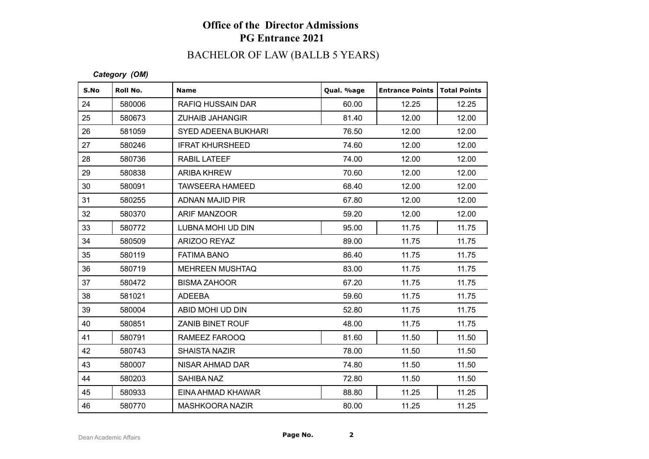# BACHELOR OF LAW (BALLB 5 YEARS)

### *Category (OM)*

| S.No | Roll No. | <b>Name</b>                | Qual. %age | <b>Entrance Points</b> | <b>Total Points</b> |
|------|----------|----------------------------|------------|------------------------|---------------------|
| 24   | 580006   | <b>RAFIQ HUSSAIN DAR</b>   | 60.00      | 12.25                  | 12.25               |
| 25   | 580673   | <b>ZUHAIB JAHANGIR</b>     | 81.40      | 12.00                  | 12.00               |
| 26   | 581059   | <b>SYED ADEENA BUKHARI</b> | 76.50      | 12.00                  | 12.00               |
| 27   | 580246   | <b>IFRAT KHURSHEED</b>     | 74.60      | 12.00                  | 12.00               |
| 28   | 580736   | <b>RABIL LATEEF</b>        | 74.00      | 12.00                  | 12.00               |
| 29   | 580838   | <b>ARIBA KHREW</b>         | 70.60      | 12.00                  | 12.00               |
| 30   | 580091   | <b>TAWSEERA HAMEED</b>     | 68.40      | 12.00                  | 12.00               |
| 31   | 580255   | ADNAN MAJID PIR            | 67.80      | 12.00                  | 12.00               |
| 32   | 580370   | ARIF MANZOOR               | 59.20      | 12.00                  | 12.00               |
| 33   | 580772   | LUBNA MOHI UD DIN          | 95.00      | 11.75                  | 11.75               |
| 34   | 580509   | ARIZOO REYAZ               | 89.00      | 11.75                  | 11.75               |
| 35   | 580119   | <b>FATIMA BANO</b>         | 86.40      | 11.75                  | 11.75               |
| 36   | 580719   | <b>MEHREEN MUSHTAQ</b>     | 83.00      | 11.75                  | 11.75               |
| 37   | 580472   | <b>BISMA ZAHOOR</b>        | 67.20      | 11.75                  | 11.75               |
| 38   | 581021   | <b>ADEEBA</b>              | 59.60      | 11.75                  | 11.75               |
| 39   | 580004   | ABID MOHI UD DIN           | 52.80      | 11.75                  | 11.75               |
| 40   | 580851   | <b>ZANIB BINET ROUF</b>    | 48.00      | 11.75                  | 11.75               |
| 41   | 580791   | RAMEEZ FAROOQ              | 81.60      | 11.50                  | 11.50               |
| 42   | 580743   | <b>SHAISTA NAZIR</b>       | 78.00      | 11.50                  | 11.50               |
| 43   | 580007   | NISAR AHMAD DAR            | 74.80      | 11.50                  | 11.50               |
| 44   | 580203   | <b>SAHIBA NAZ</b>          | 72.80      | 11.50                  | 11.50               |
| 45   | 580933   | EINA AHMAD KHAWAR          | 88.80      | 11.25                  | 11.25               |
| 46   | 580770   | <b>MASHKOORA NAZIR</b>     | 80.00      | 11.25                  | 11.25               |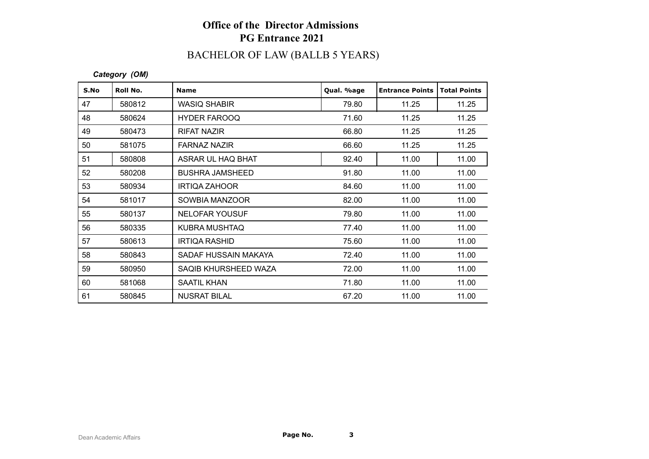# BACHELOR OF LAW (BALLB 5 YEARS)

### *Category (OM)*

| S.No | Roll No. | <b>Name</b>            | Qual. %age | <b>Entrance Points</b> | <b>Total Points</b> |
|------|----------|------------------------|------------|------------------------|---------------------|
| 47   | 580812   | <b>WASIQ SHABIR</b>    | 79.80      | 11.25                  | 11.25               |
| 48   | 580624   | HYDER FAROOQ           | 71.60      | 11.25                  | 11.25               |
| 49   | 580473   | <b>RIFAT NAZIR</b>     | 66.80      | 11.25                  | 11.25               |
| 50   | 581075   | <b>FARNAZ NAZIR</b>    | 66.60      | 11.25                  | 11.25               |
| 51   | 580808   | ASRAR UL HAQ BHAT      | 92.40      | 11.00                  | 11.00               |
| 52   | 580208   | <b>BUSHRA JAMSHEED</b> | 91.80      | 11.00                  | 11.00               |
| 53   | 580934   | <b>IRTIQA ZAHOOR</b>   | 84.60      | 11.00                  | 11.00               |
| 54   | 581017   | SOWBIA MANZOOR         | 82.00      | 11.00                  | 11.00               |
| 55   | 580137   | <b>NELOFAR YOUSUF</b>  | 79.80      | 11.00                  | 11.00               |
| 56   | 580335   | KUBRA MUSHTAQ          | 77.40      | 11.00                  | 11.00               |
| 57   | 580613   | <b>IRTIQA RASHID</b>   | 75.60      | 11.00                  | 11.00               |
| 58   | 580843   | SADAF HUSSAIN MAKAYA   | 72.40      | 11.00                  | 11.00               |
| 59   | 580950   | SAQIB KHURSHEED WAZA   | 72.00      | 11.00                  | 11.00               |
| 60   | 581068   | <b>SAATIL KHAN</b>     | 71.80      | 11.00                  | 11.00               |
| 61   | 580845   | <b>NUSRAT BILAL</b>    | 67.20      | 11.00                  | 11.00               |